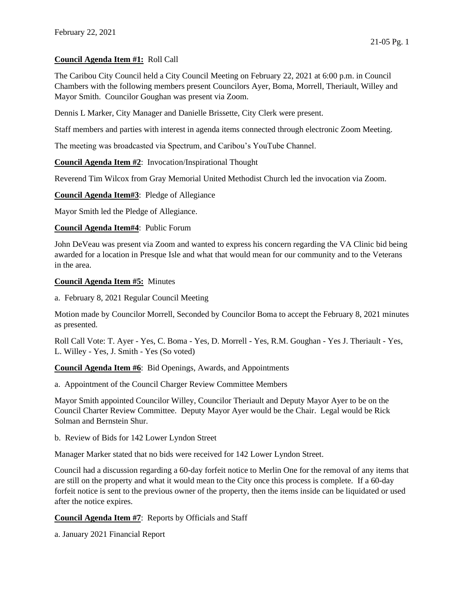## **Council Agenda Item #1:** Roll Call

The Caribou City Council held a City Council Meeting on February 22, 2021 at 6:00 p.m. in Council Chambers with the following members present Councilors Ayer, Boma, Morrell, Theriault, Willey and Mayor Smith. Councilor Goughan was present via Zoom.

Dennis L Marker, City Manager and Danielle Brissette, City Clerk were present.

Staff members and parties with interest in agenda items connected through electronic Zoom Meeting.

The meeting was broadcasted via Spectrum, and Caribou's YouTube Channel.

**Council Agenda Item #2**: Invocation/Inspirational Thought

Reverend Tim Wilcox from Gray Memorial United Methodist Church led the invocation via Zoom.

**Council Agenda Item#3**: Pledge of Allegiance

Mayor Smith led the Pledge of Allegiance.

**Council Agenda Item#4**: Public Forum

John DeVeau was present via Zoom and wanted to express his concern regarding the VA Clinic bid being awarded for a location in Presque Isle and what that would mean for our community and to the Veterans in the area.

**Council Agenda Item #5:** Minutes

a. February 8, 2021 Regular Council Meeting

Motion made by Councilor Morrell, Seconded by Councilor Boma to accept the February 8, 2021 minutes as presented.

Roll Call Vote: T. Ayer - Yes, C. Boma - Yes, D. Morrell - Yes, R.M. Goughan - Yes J. Theriault - Yes, L. Willey - Yes, J. Smith - Yes (So voted)

**Council Agenda Item #6**: Bid Openings, Awards, and Appointments

a. Appointment of the Council Charger Review Committee Members

Mayor Smith appointed Councilor Willey, Councilor Theriault and Deputy Mayor Ayer to be on the Council Charter Review Committee. Deputy Mayor Ayer would be the Chair. Legal would be Rick Solman and Bernstein Shur.

b. Review of Bids for 142 Lower Lyndon Street

Manager Marker stated that no bids were received for 142 Lower Lyndon Street.

Council had a discussion regarding a 60-day forfeit notice to Merlin One for the removal of any items that are still on the property and what it would mean to the City once this process is complete. If a 60-day forfeit notice is sent to the previous owner of the property, then the items inside can be liquidated or used after the notice expires.

**Council Agenda Item #7**: Reports by Officials and Staff

a. January 2021 Financial Report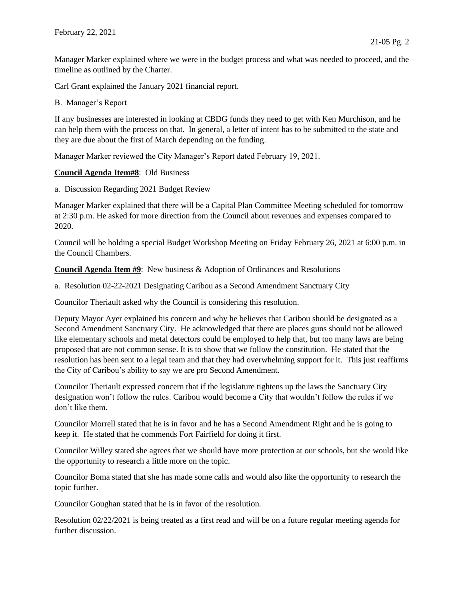Manager Marker explained where we were in the budget process and what was needed to proceed, and the timeline as outlined by the Charter.

Carl Grant explained the January 2021 financial report.

## B. Manager's Report

If any businesses are interested in looking at CBDG funds they need to get with Ken Murchison, and he can help them with the process on that. In general, a letter of intent has to be submitted to the state and they are due about the first of March depending on the funding.

Manager Marker reviewed the City Manager's Report dated February 19, 2021.

## **Council Agenda Item#8**: Old Business

a. Discussion Regarding 2021 Budget Review

Manager Marker explained that there will be a Capital Plan Committee Meeting scheduled for tomorrow at 2:30 p.m. He asked for more direction from the Council about revenues and expenses compared to 2020.

Council will be holding a special Budget Workshop Meeting on Friday February 26, 2021 at 6:00 p.m. in the Council Chambers.

**Council Agenda Item #9**: New business & Adoption of Ordinances and Resolutions

a. Resolution 02-22-2021 Designating Caribou as a Second Amendment Sanctuary City

Councilor Theriault asked why the Council is considering this resolution.

Deputy Mayor Ayer explained his concern and why he believes that Caribou should be designated as a Second Amendment Sanctuary City. He acknowledged that there are places guns should not be allowed like elementary schools and metal detectors could be employed to help that, but too many laws are being proposed that are not common sense. It is to show that we follow the constitution. He stated that the resolution has been sent to a legal team and that they had overwhelming support for it. This just reaffirms the City of Caribou's ability to say we are pro Second Amendment.

Councilor Theriault expressed concern that if the legislature tightens up the laws the Sanctuary City designation won't follow the rules. Caribou would become a City that wouldn't follow the rules if we don't like them.

Councilor Morrell stated that he is in favor and he has a Second Amendment Right and he is going to keep it. He stated that he commends Fort Fairfield for doing it first.

Councilor Willey stated she agrees that we should have more protection at our schools, but she would like the opportunity to research a little more on the topic.

Councilor Boma stated that she has made some calls and would also like the opportunity to research the topic further.

Councilor Goughan stated that he is in favor of the resolution.

Resolution 02/22/2021 is being treated as a first read and will be on a future regular meeting agenda for further discussion.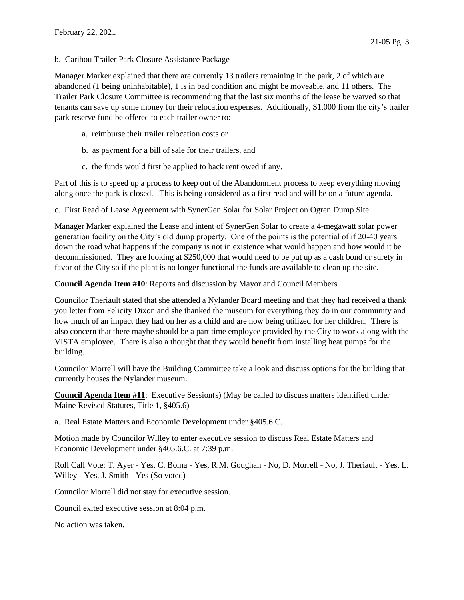b. Caribou Trailer Park Closure Assistance Package

Manager Marker explained that there are currently 13 trailers remaining in the park, 2 of which are abandoned (1 being uninhabitable), 1 is in bad condition and might be moveable, and 11 others. The Trailer Park Closure Committee is recommending that the last six months of the lease be waived so that tenants can save up some money for their relocation expenses. Additionally, \$1,000 from the city's trailer park reserve fund be offered to each trailer owner to:

- a. reimburse their trailer relocation costs or
- b. as payment for a bill of sale for their trailers, and
- c. the funds would first be applied to back rent owed if any.

Part of this is to speed up a process to keep out of the Abandonment process to keep everything moving along once the park is closed. This is being considered as a first read and will be on a future agenda.

c. First Read of Lease Agreement with SynerGen Solar for Solar Project on Ogren Dump Site

Manager Marker explained the Lease and intent of SynerGen Solar to create a 4-megawatt solar power generation facility on the City's old dump property. One of the points is the potential of if 20-40 years down the road what happens if the company is not in existence what would happen and how would it be decommissioned. They are looking at \$250,000 that would need to be put up as a cash bond or surety in favor of the City so if the plant is no longer functional the funds are available to clean up the site.

## **Council Agenda Item #10**: Reports and discussion by Mayor and Council Members

Councilor Theriault stated that she attended a Nylander Board meeting and that they had received a thank you letter from Felicity Dixon and she thanked the museum for everything they do in our community and how much of an impact they had on her as a child and are now being utilized for her children. There is also concern that there maybe should be a part time employee provided by the City to work along with the VISTA employee. There is also a thought that they would benefit from installing heat pumps for the building.

Councilor Morrell will have the Building Committee take a look and discuss options for the building that currently houses the Nylander museum.

**Council Agenda Item #11**: Executive Session(s) (May be called to discuss matters identified under Maine Revised Statutes, Title 1, §405.6)

a. Real Estate Matters and Economic Development under §405.6.C.

Motion made by Councilor Willey to enter executive session to discuss Real Estate Matters and Economic Development under §405.6.C. at 7:39 p.m.

Roll Call Vote: T. Ayer - Yes, C. Boma - Yes, R.M. Goughan - No, D. Morrell - No, J. Theriault - Yes, L. Willey - Yes, J. Smith - Yes (So voted)

Councilor Morrell did not stay for executive session.

Council exited executive session at 8:04 p.m.

No action was taken.